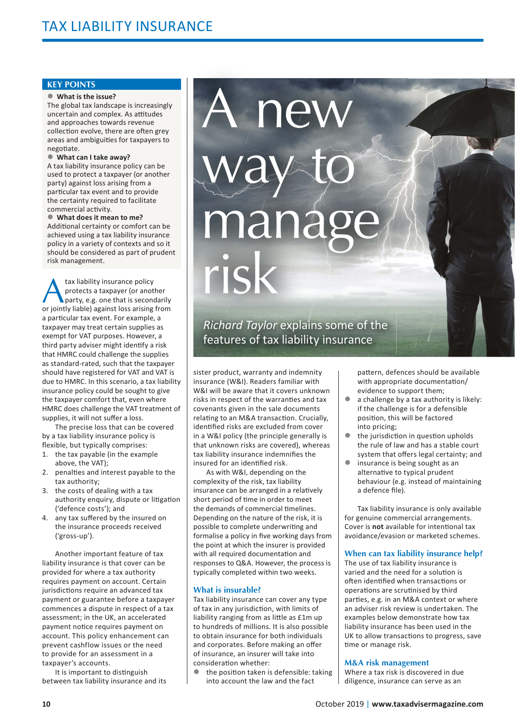## **KEY POINTS**

#### z **What is the issue?**

The global tax landscape is increasingly uncertain and complex. As attitudes and approaches towards revenue collection evolve, there are often grev areas and ambiguities for taxpayers to negotiate.

## ● What can I take away?

A tax liability insurance policy can be used to protect a taxpayer (or another party) against loss arising from a particular tax event and to provide the certainty required to facilitate commercial activity.

#### $\bullet$  What does it mean to me?

Additional certainty or comfort can be achieved using a tax liability insurance policy in a variety of contexts and so it should be considered as part of prudent risk management.

tax liability insurance policy<br>protects a taxpayer (or anot<br>party, e.g. one that is second<br>or iointly liable) against loss arising protects a taxpaver (or another party, e.g. one that is secondarily or iointly liable) against loss arising from a particular tax event. For example, a taxpayer may treat certain supplies as exempt for VAT purposes. However, a third party adviser might identify a risk that HMRC could challenge the supplies as standard-rated, such that the taxpayer should have registered for VAT and VAT is due to HMRC. In this scenario, a tax liability insurance policy could be sought to give the taxpayer comfort that, even where HMRC does challenge the VAT treatment of supplies, it will not suffer a loss.

The precise loss that can be covered by a tax liability insurance policy is flexible, but typically comprises:

- 1. the tax payable (in the example above, the VAT);
- 2. penalties and interest payable to the tax authority;
- 3. the costs of dealing with a tax authority enquiry, dispute or litigation ('defence costs'); and
- 4. any tax suffered by the insured on the insurance proceeds received ('gross-up').

Another important feature of tax liability insurance is that cover can be provided for where a tax authority requires payment on account. Certain jurisdictions require an advanced tax payment or guarantee before a taxpayer commences a dispute in respect of a tax assessment; in the UK, an accelerated payment notice requires payment on account. This policy enhancement can prevent cashflow issues or the need to provide for an assessment in a taxpayer's accounts.

It is important to distinguish between tax liability insurance and its

# **nev** way to nana risk

*Richard Taylor explains some of the* features of tax liability insurance

sister product, warranty and indemnity insurance (W&I). Readers familiar with W&I will be aware that it covers unknown risks in respect of the warranties and tax covenants given in the sale documents relating to an M&A transaction. Crucially, identified risks are excluded from cover in a W&I policy (the principle generally is that unknown risks are covered), whereas tax liability insurance indemnifies the insured for an identified risk.

As with W&I, depending on the complexity of the risk, tax liability insurance can be arranged in a relatively short period of time in order to meet the demands of commercial timelines. Depending on the nature of the risk, it is possible to complete underwriting and formalise a policy in five working days from the point at which the insurer is provided with all required documentation and responses to Q&A. However, the process is typically completed within two weeks.

# **What is insurable?**

Tax liability insurance can cover any type of tax in any jurisdiction, with limits of liability ranging from as little as £1m up to hundreds of millions. It is also possible to obtain insurance for both individuals and corporates. Before making an offer of insurance, an insurer will take into consideration whether:

the position taken is defensible: taking into account the law and the fact

pattern, defences should be available with appropriate documentation/ evidence to support them;

- $\bullet$  a challenge by a tax authority is likely: if the challenge is for a defensible position, this will be factored into pricing;
- $\bullet$  the jurisdiction in question upholds the rule of law and has a stable court system that offers legal certainty; and
- $\bullet$  insurance is being sought as an alternative to typical prudent behaviour (e.g. instead of maintaining a defence file).

Tax liability insurance is only available for genuine commercial arrangements. Cover is **not** available for intentional tax avoidance/evasion or marketed schemes.

# **When can tax liability insurance help?**

The use of tax liability insurance is varied and the need for a solution is often identified when transactions or operations are scrutinised by third parties, e.g. in an M&A context or where an adviser risk review is undertaken. The examples below demonstrate how tax liability insurance has been used in the UK to allow transactions to progress, save time or manage risk.

## **M&A risk management**

Where a tax risk is discovered in due diligence, insurance can serve as an